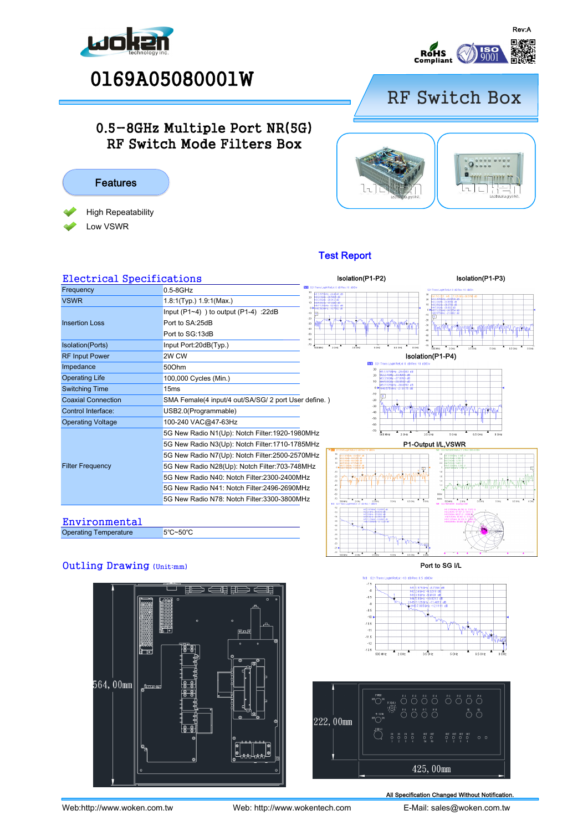





## RF Switch Box

## 0.5-8GHz Multiple Port NR(5G) RF Switch Mode Filters Box



# $\epsilon$

## Test Report

| <b>Electrical Specifications</b> |                                                                                |                                                       |  |
|----------------------------------|--------------------------------------------------------------------------------|-------------------------------------------------------|--|
| Frequency                        | $0.5 - 8$ GHz                                                                  | <b>ITAL</b> S21 Trans LogM Refl.xt 0                  |  |
| <b>VSWR</b>                      | 1.8:1(Typ.) 1.9:1(Max.)                                                        | 20                                                    |  |
|                                  | Input $(P1-4)$ ) to output $(P1-4)$ : 22dB                                     | $-10$                                                 |  |
| <b>Insertion Loss</b>            | Port to SA:25dB                                                                | $-20$<br>$-30$<br>$-40$                               |  |
|                                  | Port to SG:13dB                                                                | $-50$<br>$-60$                                        |  |
| Isolation(Ports)                 | Input Port:20dB(Typ.)                                                          | $-70$<br>$\frac{1}{2.0 \text{ Hz}}$<br><b>500 MHz</b> |  |
| <b>RF Input Power</b>            | 2W CW                                                                          |                                                       |  |
| Impedance                        | 50Ohm                                                                          |                                                       |  |
| <b>Operating Life</b>            | 100,000 Cycles (Min.)                                                          |                                                       |  |
| <b>Switching Time</b>            | 15ms                                                                           |                                                       |  |
| <b>Coaxial Connection</b>        | SMA Female(4 input/4 out/SA/SG/ 2 port User define.)                           |                                                       |  |
| Control Interface:               | USB2.0(Programmable)                                                           |                                                       |  |
| <b>Operating Voltage</b>         | 100-240 VAC@47-63Hz                                                            |                                                       |  |
|                                  | 5G New Radio N1(Up): Notch Filter: 1920-1980MHz                                |                                                       |  |
|                                  | 5G New Radio N3(Up): Notch Filter:1710-1785MHz<br>$FIII$ 31                    |                                                       |  |
|                                  | 5G New Radio N7(Up): Notch Filter:2500-2570MHz                                 | 31<br>21                                              |  |
| <b>Filter Frequency</b>          | 10<br>5G New Radio N28(Up): Notch Filter:703-748MHz<br>$\overline{a}$<br>$-10$ |                                                       |  |
|                                  | 5G New Radio N40: Notch Filter:2300-2400MHz<br>$-21$<br>$^{11}$                |                                                       |  |
|                                  | 5G New Radio N41: Notch Filter:2496-2690MHz                                    | 4h<br>×.<br>×.                                        |  |
|                                  | 5G New Radio N78: Notch Filter:3300-3800MHz                                    | -ra<br>101, 111                                       |  |
|                                  |                                                                                | $+12$<br>$-13$                                        |  |





**Environmental** 

Operating Temperature



5℃~50℃

### Port to SG I/L





All Specification Changed Without Notification.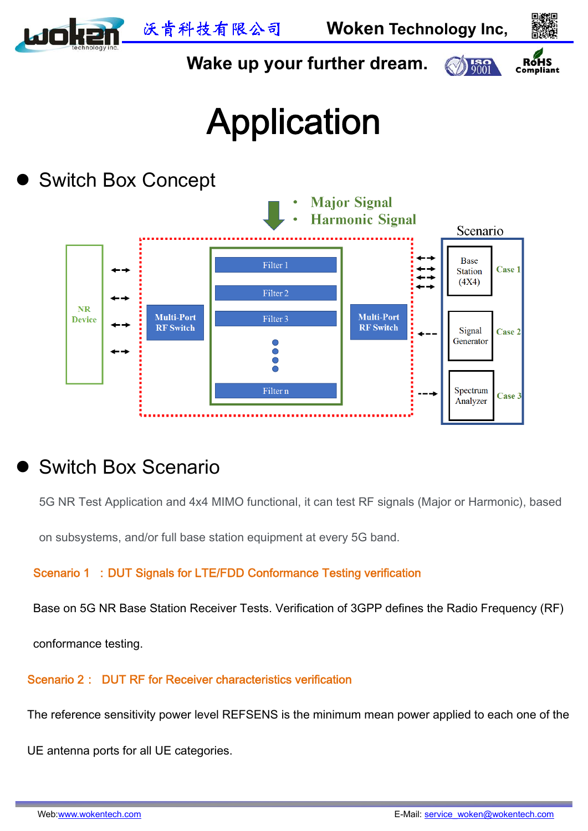

# Switch Box Scenario

5G NR Test Application and 4x4 MIMO functional, it can test RF signals (Major or Harmonic), based

on subsystems, and/or full base station equipment at every 5G band.

Scenario 1 : DUT Signals for LTE/FDD Conformance Testing verification

Base on 5G NR Base Station Receiver Tests. Verification of 3GPP defines the Radio Frequency (RF)

conformance testing.

Scenario 2: DUT RF for Receiver characteristics verification

The reference sensitivity power level REFSENS is the minimum mean power applied to each one of the

UE antenna ports for all UE categories.